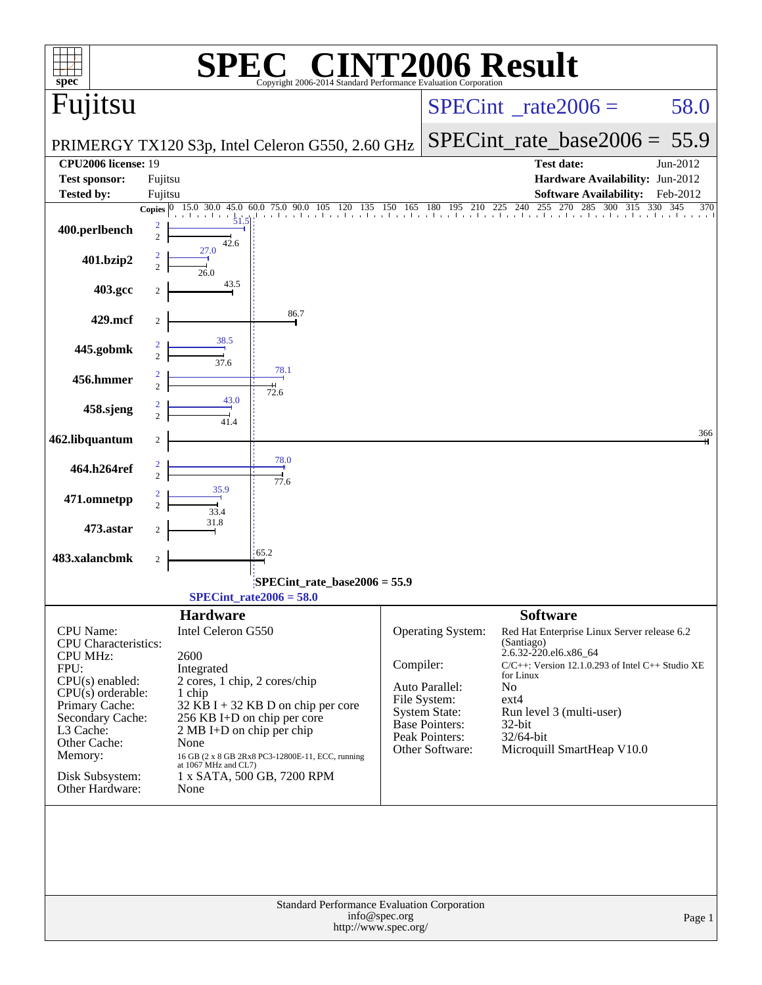| $spec^*$                                                                                                                                                                                                                            | $\sqrt[\text{R}]{8}$<br>Copyright 2006-2014 Standard Performance Evaluation Corporation                                                                                                                                                                                                                                                | <b>INT2006 Result</b>                                                                                                                                                                                                                                                                                                                                                                                                                  |
|-------------------------------------------------------------------------------------------------------------------------------------------------------------------------------------------------------------------------------------|----------------------------------------------------------------------------------------------------------------------------------------------------------------------------------------------------------------------------------------------------------------------------------------------------------------------------------------|----------------------------------------------------------------------------------------------------------------------------------------------------------------------------------------------------------------------------------------------------------------------------------------------------------------------------------------------------------------------------------------------------------------------------------------|
| Fujitsu                                                                                                                                                                                                                             |                                                                                                                                                                                                                                                                                                                                        | $SPECint^{\circ}$ rate $2006 =$<br>58.0                                                                                                                                                                                                                                                                                                                                                                                                |
|                                                                                                                                                                                                                                     | PRIMERGY TX120 S3p, Intel Celeron G550, 2.60 GHz                                                                                                                                                                                                                                                                                       | $SPECint_rate_base2006 = 55.9$                                                                                                                                                                                                                                                                                                                                                                                                         |
| <b>CPU2006</b> license: 19                                                                                                                                                                                                          |                                                                                                                                                                                                                                                                                                                                        | Test date:<br>Jun-2012                                                                                                                                                                                                                                                                                                                                                                                                                 |
| <b>Test sponsor:</b><br><b>Tested by:</b>                                                                                                                                                                                           | Fujitsu<br>Fujitsu                                                                                                                                                                                                                                                                                                                     | Hardware Availability: Jun-2012<br><b>Software Availability:</b><br>Feb-2012                                                                                                                                                                                                                                                                                                                                                           |
|                                                                                                                                                                                                                                     | 15.0 30.0 45.0 60.0 75.0 90.0 105 120 135 150 165 180 195 210 225 240 255 270 285 300 315<br>Copies $ 0 $                                                                                                                                                                                                                              | 330 345<br>370                                                                                                                                                                                                                                                                                                                                                                                                                         |
| 400.perlbench                                                                                                                                                                                                                       | 2<br>$\overline{c}$<br>42.6                                                                                                                                                                                                                                                                                                            |                                                                                                                                                                                                                                                                                                                                                                                                                                        |
| 401.bzip2                                                                                                                                                                                                                           | 27.0<br>$\overline{c}$<br>26.0                                                                                                                                                                                                                                                                                                         |                                                                                                                                                                                                                                                                                                                                                                                                                                        |
| 403.gcc                                                                                                                                                                                                                             | 43.5                                                                                                                                                                                                                                                                                                                                   |                                                                                                                                                                                                                                                                                                                                                                                                                                        |
| 429.mcf                                                                                                                                                                                                                             | 86.7<br>2                                                                                                                                                                                                                                                                                                                              |                                                                                                                                                                                                                                                                                                                                                                                                                                        |
| 445.gobmk                                                                                                                                                                                                                           | 38.5<br>37.6                                                                                                                                                                                                                                                                                                                           |                                                                                                                                                                                                                                                                                                                                                                                                                                        |
| 456.hmmer                                                                                                                                                                                                                           | 78.1<br>72.6                                                                                                                                                                                                                                                                                                                           |                                                                                                                                                                                                                                                                                                                                                                                                                                        |
| 458.sjeng                                                                                                                                                                                                                           | 43.0<br>41.4                                                                                                                                                                                                                                                                                                                           |                                                                                                                                                                                                                                                                                                                                                                                                                                        |
| 462.libquantum                                                                                                                                                                                                                      | $\boldsymbol{2}$                                                                                                                                                                                                                                                                                                                       | 366                                                                                                                                                                                                                                                                                                                                                                                                                                    |
| 464.h264ref                                                                                                                                                                                                                         | 78.0<br>77.6                                                                                                                                                                                                                                                                                                                           |                                                                                                                                                                                                                                                                                                                                                                                                                                        |
| 471.omnetpp                                                                                                                                                                                                                         | 33.4                                                                                                                                                                                                                                                                                                                                   |                                                                                                                                                                                                                                                                                                                                                                                                                                        |
| 473.astar                                                                                                                                                                                                                           | 31.8<br>2                                                                                                                                                                                                                                                                                                                              |                                                                                                                                                                                                                                                                                                                                                                                                                                        |
| 483.xalancbmk                                                                                                                                                                                                                       | 65.2<br>2                                                                                                                                                                                                                                                                                                                              |                                                                                                                                                                                                                                                                                                                                                                                                                                        |
|                                                                                                                                                                                                                                     | $SPECint_rate_base2006 = 55.9$<br>$SPECint_rate2006 = 58.0$                                                                                                                                                                                                                                                                            |                                                                                                                                                                                                                                                                                                                                                                                                                                        |
| CPU Name:<br><b>CPU</b> Characteristics:<br><b>CPU MHz:</b><br>FPU:<br>$CPU(s)$ enabled:<br>$CPU(s)$ orderable:<br>Primary Cache:<br>Secondary Cache:<br>L3 Cache:<br>Other Cache:<br>Memory:<br>Disk Subsystem:<br>Other Hardware: | <b>Hardware</b><br>Intel Celeron G550<br>2600<br>Integrated<br>2 cores, 1 chip, 2 cores/chip<br>1 chip<br>$32$ KB I + 32 KB D on chip per core<br>256 KB I+D on chip per core<br>$2 MB I+D$ on chip per chip<br>None<br>16 GB (2 x 8 GB 2Rx8 PC3-12800E-11, ECC, running<br>at 1067 MHz and CL7)<br>1 x SATA, 500 GB, 7200 RPM<br>None | <b>Software</b><br>Operating System:<br>Red Hat Enterprise Linux Server release 6.2<br>(Santiago)<br>2.6.32-220.el6.x86_64<br>Compiler:<br>$C/C++$ : Version 12.1.0.293 of Intel $C++$ Studio XE<br>for Linux<br>Auto Parallel:<br>N <sub>o</sub><br>File System:<br>$ext{4}$<br>System State:<br>Run level 3 (multi-user)<br>Base Pointers:<br>32-bit<br>Peak Pointers:<br>32/64-bit<br>Other Software:<br>Microquill SmartHeap V10.0 |
|                                                                                                                                                                                                                                     | Standard Performance Evaluation Corporation<br>info@spec.org<br>http://www.spec.org/                                                                                                                                                                                                                                                   | Page 1                                                                                                                                                                                                                                                                                                                                                                                                                                 |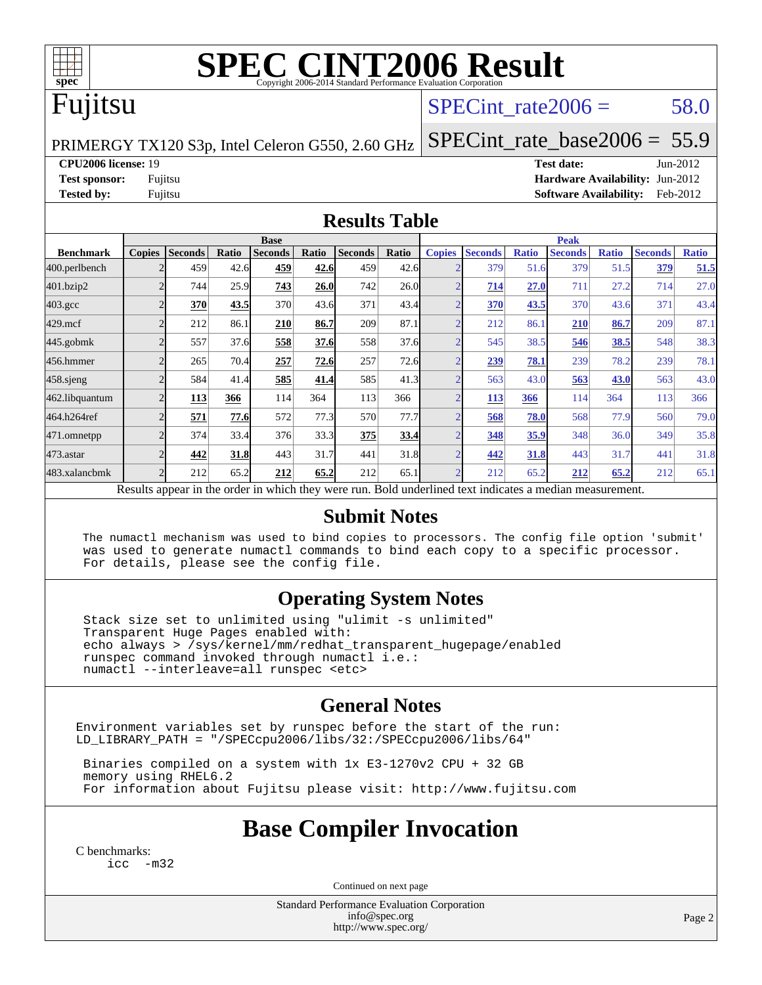

# **[SPEC CINT2006 Result](http://www.spec.org/auto/cpu2006/Docs/result-fields.html#SPECCINT2006Result)**

# Fujitsu

#### SPECint rate $2006 = 58.0$

[SPECint\\_rate\\_base2006 =](http://www.spec.org/auto/cpu2006/Docs/result-fields.html#SPECintratebase2006) 55.9

PRIMERGY TX120 S3p, Intel Celeron G550, 2.60 GHz

**[CPU2006 license:](http://www.spec.org/auto/cpu2006/Docs/result-fields.html#CPU2006license)** 19 **[Test date:](http://www.spec.org/auto/cpu2006/Docs/result-fields.html#Testdate)** Jun-2012 **[Test sponsor:](http://www.spec.org/auto/cpu2006/Docs/result-fields.html#Testsponsor)** Fujitsu **[Hardware Availability:](http://www.spec.org/auto/cpu2006/Docs/result-fields.html#HardwareAvailability)** Jun-2012 **[Tested by:](http://www.spec.org/auto/cpu2006/Docs/result-fields.html#Testedby)** Fujitsu **[Software Availability:](http://www.spec.org/auto/cpu2006/Docs/result-fields.html#SoftwareAvailability)** Feb-2012

#### **[Results Table](http://www.spec.org/auto/cpu2006/Docs/result-fields.html#ResultsTable)**

|                    | <b>Base</b>                                                                                              |                |       |                | <b>Peak</b> |                |       |                |                |              |                |              |                |              |
|--------------------|----------------------------------------------------------------------------------------------------------|----------------|-------|----------------|-------------|----------------|-------|----------------|----------------|--------------|----------------|--------------|----------------|--------------|
| <b>Benchmark</b>   | <b>Copies</b>                                                                                            | <b>Seconds</b> | Ratio | <b>Seconds</b> | Ratio       | <b>Seconds</b> | Ratio | <b>Copies</b>  | <b>Seconds</b> | <b>Ratio</b> | <b>Seconds</b> | <b>Ratio</b> | <b>Seconds</b> | <b>Ratio</b> |
| 400.perlbench      |                                                                                                          | 459            | 42.6  | 459            | 42.6        | 459            | 42.6  | $\overline{2}$ | 379            | 51.6         | 379            | 51.5         | 379            | 51.5         |
| 401.bzip2          | $\overline{c}$                                                                                           | 744            | 25.9  | 743            | 26.0        | 742            | 26.0  | ⌒              | 714            | 27.0         | 711            | 27.2         | 714            | 27.0         |
| $403.\mathrm{gcc}$ | $\overline{c}$                                                                                           | 370            | 43.5  | 370            | 43.6        | 371            | 43.4  | $\overline{2}$ | 370            | 43.5         | 370            | 43.6         | 371            | 43.4         |
| $429$ .mcf         | $\overline{c}$                                                                                           | 212            | 86.1  | 210            | 86.7        | 209            | 87.1  | $\overline{2}$ | 212            | 86.1         | 210            | 86.7         | 209            | 87.1         |
| $445$ .gobm $k$    | $\bigcap$                                                                                                | 557            | 37.6  | 558            | 37.6        | 558            | 37.6  | $\overline{2}$ | 545            | 38.5         | 546            | 38.5         | 548            | 38.3         |
| 456.hmmer          | $\mathfrak{D}$                                                                                           | 265            | 70.4  | 257            | 72.6        | 257            | 72.6  | $\overline{2}$ | 239            | 78.1         | 239            | 78.2         | 239            | 78.1         |
| $458$ .sjeng       | $\overline{c}$                                                                                           | 584            | 41.4  | 585            | 41.4        | 585            | 41.3  | $\overline{2}$ | 563            | 43.0         | 563            | 43.0         | 563            | 43.0         |
| 462.libquantum     | $\mathfrak{D}$                                                                                           | 113            | 366   | 114            | 364         | 113            | 366   | $\overline{2}$ | <u>113</u>     | 366          | 114            | 364          | 113            | 366          |
| 464.h264ref        | $\overline{2}$                                                                                           | 571            | 77.6  | 572            | 77.3        | 570            | 77.7  | $\overline{2}$ | 568            | 78.0         | 568            | 77.9         | 560            | 79.0         |
| 471.omnetpp        | $\overline{2}$                                                                                           | 374            | 33.4  | 376            | 33.3        | 375            | 33.4  | $\overline{2}$ | 348            | 35.9         | 348            | 36.0         | 349            | 35.8         |
| 473.astar          | $\mathfrak{D}$                                                                                           | 442            | 31.8  | 443            | 31.7        | 441            | 31.8  | $\overline{2}$ | 442            | 31.8         | 443            | 31.7         | 441            | 31.8         |
| 483.xalancbmk      | $\mathfrak{D}$                                                                                           | 212            | 65.2  | 212            | 65.2        | 212            | 65.1  | $\overline{2}$ | 212            | 65.2         | 212            | 65.2         | 212            | 65.1         |
|                    | Results appear in the order in which they were run. Bold underlined text indicates a median measurement. |                |       |                |             |                |       |                |                |              |                |              |                |              |

#### **[Submit Notes](http://www.spec.org/auto/cpu2006/Docs/result-fields.html#SubmitNotes)**

 The numactl mechanism was used to bind copies to processors. The config file option 'submit' was used to generate numactl commands to bind each copy to a specific processor. For details, please see the config file.

#### **[Operating System Notes](http://www.spec.org/auto/cpu2006/Docs/result-fields.html#OperatingSystemNotes)**

 Stack size set to unlimited using "ulimit -s unlimited" Transparent Huge Pages enabled with: echo always > /sys/kernel/mm/redhat\_transparent\_hugepage/enabled runspec command invoked through numactl i.e.: numactl --interleave=all runspec <etc>

#### **[General Notes](http://www.spec.org/auto/cpu2006/Docs/result-fields.html#GeneralNotes)**

Environment variables set by runspec before the start of the run: LD\_LIBRARY\_PATH = "/SPECcpu2006/libs/32:/SPECcpu2006/libs/64"

 Binaries compiled on a system with 1x E3-1270v2 CPU + 32 GB memory using RHEL6.2 For information about Fujitsu please visit: <http://www.fujitsu.com>

#### **[Base Compiler Invocation](http://www.spec.org/auto/cpu2006/Docs/result-fields.html#BaseCompilerInvocation)**

[C benchmarks](http://www.spec.org/auto/cpu2006/Docs/result-fields.html#Cbenchmarks): [icc -m32](http://www.spec.org/cpu2006/results/res2012q3/cpu2006-20120822-24275.flags.html#user_CCbase_intel_icc_5ff4a39e364c98233615fdd38438c6f2)

Continued on next page

Standard Performance Evaluation Corporation [info@spec.org](mailto:info@spec.org) <http://www.spec.org/>

Page 2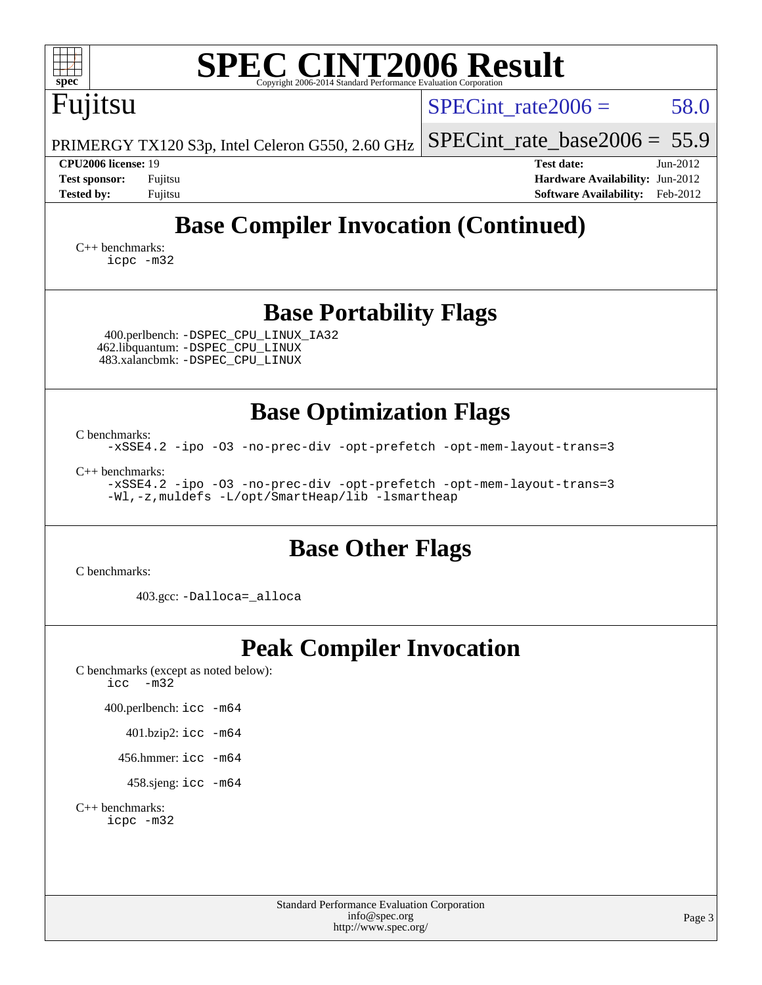| <b>SPEC CINT2006 Result</b><br>spec <sup>®</sup><br>Copyright 2006-2014 Standard Performance Evaluation Corporation                              |                                                                                                                 |  |  |  |  |  |
|--------------------------------------------------------------------------------------------------------------------------------------------------|-----------------------------------------------------------------------------------------------------------------|--|--|--|--|--|
| Fujitsu                                                                                                                                          | $SPECint_rate2006 =$<br>58.0                                                                                    |  |  |  |  |  |
| PRIMERGY TX120 S3p, Intel Celeron G550, 2.60 GHz                                                                                                 | $SPECint_rate_base2006 = 55.9$                                                                                  |  |  |  |  |  |
| CPU2006 license: 19<br><b>Test sponsor:</b><br>Fujitsu<br><b>Tested by:</b><br>Fujitsu                                                           | <b>Test date:</b><br>$Jun-2012$<br>Hardware Availability: Jun-2012<br><b>Software Availability:</b><br>Feb-2012 |  |  |  |  |  |
| <b>Base Compiler Invocation (Continued)</b>                                                                                                      |                                                                                                                 |  |  |  |  |  |
| $C_{++}$ benchmarks:<br>icpc -m32                                                                                                                |                                                                                                                 |  |  |  |  |  |
| <b>Base Portability Flags</b>                                                                                                                    |                                                                                                                 |  |  |  |  |  |
| 400.perlbench: -DSPEC_CPU_LINUX_IA32<br>462.libquantum: - DSPEC_CPU_LINUX<br>483.xalancbmk: -DSPEC_CPU_LINUX                                     |                                                                                                                 |  |  |  |  |  |
| <b>Base Optimization Flags</b>                                                                                                                   |                                                                                                                 |  |  |  |  |  |
| C benchmarks:<br>-xSSE4.2 -ipo -03 -no-prec-div -opt-prefetch -opt-mem-layout-trans=3                                                            |                                                                                                                 |  |  |  |  |  |
| $C_{++}$ benchmarks:<br>-xSSE4.2 -ipo -03 -no-prec-div -opt-prefetch -opt-mem-layout-trans=3<br>-Wl,-z, muldefs -L/opt/SmartHeap/lib -lsmartheap |                                                                                                                 |  |  |  |  |  |
| <b>Base Other Flags</b><br>C benchmarks:                                                                                                         |                                                                                                                 |  |  |  |  |  |
| 403.gcc: -Dalloca=_alloca                                                                                                                        |                                                                                                                 |  |  |  |  |  |
| <b>Peak Compiler Invocation</b><br>C benchmarks (except as noted below):<br>$-m32$<br>icc                                                        |                                                                                                                 |  |  |  |  |  |
| 400.perlbench: icc -m64                                                                                                                          |                                                                                                                 |  |  |  |  |  |
| 401.bzip2: icc -m64                                                                                                                              |                                                                                                                 |  |  |  |  |  |
| 456.hmmer: $\text{icc}$ -m64                                                                                                                     |                                                                                                                 |  |  |  |  |  |
| 458.sjeng: icc -m64                                                                                                                              |                                                                                                                 |  |  |  |  |  |
| $C_{++}$ benchmarks:<br>icpc -m32                                                                                                                |                                                                                                                 |  |  |  |  |  |
| Standard Performance Evaluation Corporation<br>info@spec.org<br>http://www.spec.org/                                                             | Page 3                                                                                                          |  |  |  |  |  |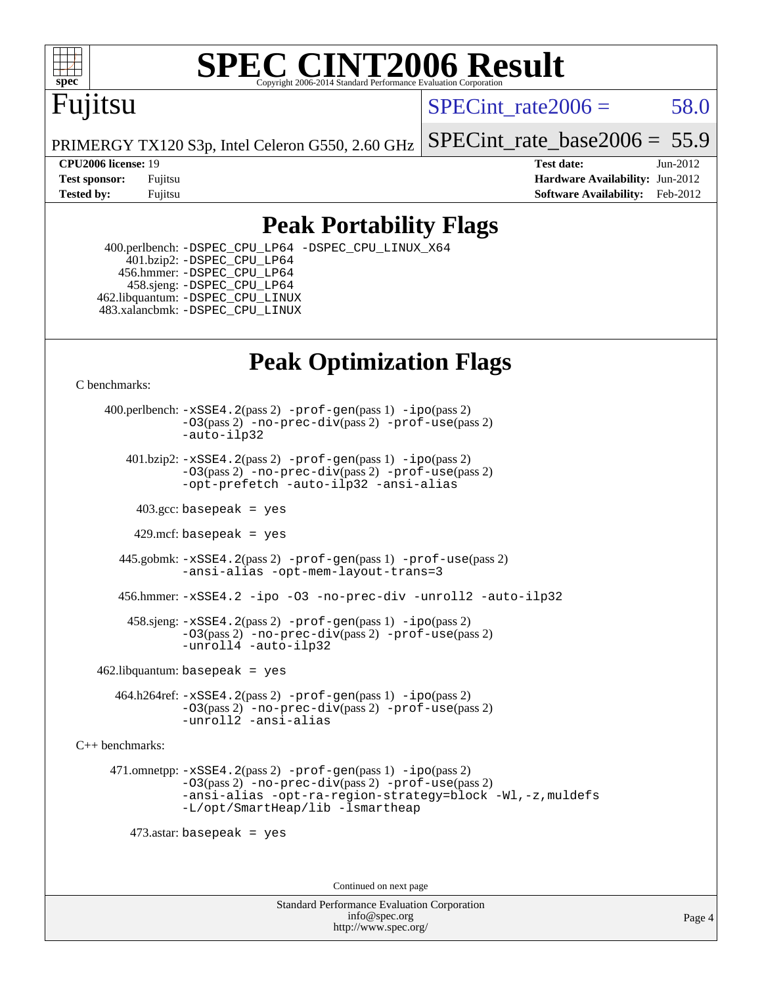

# **[SPEC CINT2006 Result](http://www.spec.org/auto/cpu2006/Docs/result-fields.html#SPECCINT2006Result)**

## Fujitsu

 $SPECint rate2006 = 58.0$ 

PRIMERGY TX120 S3p, Intel Celeron G550, 2.60 GHz

[SPECint\\_rate\\_base2006 =](http://www.spec.org/auto/cpu2006/Docs/result-fields.html#SPECintratebase2006) 55.9

**[CPU2006 license:](http://www.spec.org/auto/cpu2006/Docs/result-fields.html#CPU2006license)** 19 **[Test date:](http://www.spec.org/auto/cpu2006/Docs/result-fields.html#Testdate)** Jun-2012 **[Test sponsor:](http://www.spec.org/auto/cpu2006/Docs/result-fields.html#Testsponsor)** Fujitsu **[Hardware Availability:](http://www.spec.org/auto/cpu2006/Docs/result-fields.html#HardwareAvailability)** Jun-2012 **[Tested by:](http://www.spec.org/auto/cpu2006/Docs/result-fields.html#Testedby)** Fujitsu **Fugital Example 2012 [Software Availability:](http://www.spec.org/auto/cpu2006/Docs/result-fields.html#SoftwareAvailability)** Feb-2012

#### **[Peak Portability Flags](http://www.spec.org/auto/cpu2006/Docs/result-fields.html#PeakPortabilityFlags)**

 400.perlbench: [-DSPEC\\_CPU\\_LP64](http://www.spec.org/cpu2006/results/res2012q3/cpu2006-20120822-24275.flags.html#b400.perlbench_peakCPORTABILITY_DSPEC_CPU_LP64) [-DSPEC\\_CPU\\_LINUX\\_X64](http://www.spec.org/cpu2006/results/res2012q3/cpu2006-20120822-24275.flags.html#b400.perlbench_peakCPORTABILITY_DSPEC_CPU_LINUX_X64) 401.bzip2: [-DSPEC\\_CPU\\_LP64](http://www.spec.org/cpu2006/results/res2012q3/cpu2006-20120822-24275.flags.html#suite_peakCPORTABILITY401_bzip2_DSPEC_CPU_LP64) 456.hmmer: [-DSPEC\\_CPU\\_LP64](http://www.spec.org/cpu2006/results/res2012q3/cpu2006-20120822-24275.flags.html#suite_peakCPORTABILITY456_hmmer_DSPEC_CPU_LP64) 458.sjeng: [-DSPEC\\_CPU\\_LP64](http://www.spec.org/cpu2006/results/res2012q3/cpu2006-20120822-24275.flags.html#suite_peakCPORTABILITY458_sjeng_DSPEC_CPU_LP64) 462.libquantum: [-DSPEC\\_CPU\\_LINUX](http://www.spec.org/cpu2006/results/res2012q3/cpu2006-20120822-24275.flags.html#b462.libquantum_peakCPORTABILITY_DSPEC_CPU_LINUX) 483.xalancbmk: [-DSPEC\\_CPU\\_LINUX](http://www.spec.org/cpu2006/results/res2012q3/cpu2006-20120822-24275.flags.html#b483.xalancbmk_peakCXXPORTABILITY_DSPEC_CPU_LINUX)

## **[Peak Optimization Flags](http://www.spec.org/auto/cpu2006/Docs/result-fields.html#PeakOptimizationFlags)**

[C benchmarks](http://www.spec.org/auto/cpu2006/Docs/result-fields.html#Cbenchmarks):

 400.perlbench: [-xSSE4.2](http://www.spec.org/cpu2006/results/res2012q3/cpu2006-20120822-24275.flags.html#user_peakPASS2_CFLAGSPASS2_LDCFLAGS400_perlbench_f-xSSE42_f91528193cf0b216347adb8b939d4107)(pass 2) [-prof-gen](http://www.spec.org/cpu2006/results/res2012q3/cpu2006-20120822-24275.flags.html#user_peakPASS1_CFLAGSPASS1_LDCFLAGS400_perlbench_prof_gen_e43856698f6ca7b7e442dfd80e94a8fc)(pass 1) [-ipo](http://www.spec.org/cpu2006/results/res2012q3/cpu2006-20120822-24275.flags.html#user_peakPASS2_CFLAGSPASS2_LDCFLAGS400_perlbench_f-ipo)(pass 2) [-O3](http://www.spec.org/cpu2006/results/res2012q3/cpu2006-20120822-24275.flags.html#user_peakPASS2_CFLAGSPASS2_LDCFLAGS400_perlbench_f-O3)(pass 2) [-no-prec-div](http://www.spec.org/cpu2006/results/res2012q3/cpu2006-20120822-24275.flags.html#user_peakPASS2_CFLAGSPASS2_LDCFLAGS400_perlbench_f-no-prec-div)(pass 2) [-prof-use](http://www.spec.org/cpu2006/results/res2012q3/cpu2006-20120822-24275.flags.html#user_peakPASS2_CFLAGSPASS2_LDCFLAGS400_perlbench_prof_use_bccf7792157ff70d64e32fe3e1250b55)(pass 2) [-auto-ilp32](http://www.spec.org/cpu2006/results/res2012q3/cpu2006-20120822-24275.flags.html#user_peakCOPTIMIZE400_perlbench_f-auto-ilp32)  $401.bzip2: -xSSE4.2(pass 2) -prof-qen(pass 1) -ipo(pass 2)$  $401.bzip2: -xSSE4.2(pass 2) -prof-qen(pass 1) -ipo(pass 2)$  $401.bzip2: -xSSE4.2(pass 2) -prof-qen(pass 1) -ipo(pass 2)$  $401.bzip2: -xSSE4.2(pass 2) -prof-qen(pass 1) -ipo(pass 2)$  $401.bzip2: -xSSE4.2(pass 2) -prof-qen(pass 1) -ipo(pass 2)$ [-O3](http://www.spec.org/cpu2006/results/res2012q3/cpu2006-20120822-24275.flags.html#user_peakPASS2_CFLAGSPASS2_LDCFLAGS401_bzip2_f-O3)(pass 2) [-no-prec-div](http://www.spec.org/cpu2006/results/res2012q3/cpu2006-20120822-24275.flags.html#user_peakPASS2_CFLAGSPASS2_LDCFLAGS401_bzip2_f-no-prec-div)(pass 2) [-prof-use](http://www.spec.org/cpu2006/results/res2012q3/cpu2006-20120822-24275.flags.html#user_peakPASS2_CFLAGSPASS2_LDCFLAGS401_bzip2_prof_use_bccf7792157ff70d64e32fe3e1250b55)(pass 2) [-opt-prefetch](http://www.spec.org/cpu2006/results/res2012q3/cpu2006-20120822-24275.flags.html#user_peakCOPTIMIZE401_bzip2_f-opt-prefetch) [-auto-ilp32](http://www.spec.org/cpu2006/results/res2012q3/cpu2006-20120822-24275.flags.html#user_peakCOPTIMIZE401_bzip2_f-auto-ilp32) [-ansi-alias](http://www.spec.org/cpu2006/results/res2012q3/cpu2006-20120822-24275.flags.html#user_peakCOPTIMIZE401_bzip2_f-ansi-alias)  $403.\text{sec: basepeak}$  = yes  $429$ .mcf: basepeak = yes 445.gobmk: [-xSSE4.2](http://www.spec.org/cpu2006/results/res2012q3/cpu2006-20120822-24275.flags.html#user_peakPASS2_CFLAGSPASS2_LDCFLAGS445_gobmk_f-xSSE42_f91528193cf0b216347adb8b939d4107)(pass 2) [-prof-gen](http://www.spec.org/cpu2006/results/res2012q3/cpu2006-20120822-24275.flags.html#user_peakPASS1_CFLAGSPASS1_LDCFLAGS445_gobmk_prof_gen_e43856698f6ca7b7e442dfd80e94a8fc)(pass 1) [-prof-use](http://www.spec.org/cpu2006/results/res2012q3/cpu2006-20120822-24275.flags.html#user_peakPASS2_CFLAGSPASS2_LDCFLAGS445_gobmk_prof_use_bccf7792157ff70d64e32fe3e1250b55)(pass 2) [-ansi-alias](http://www.spec.org/cpu2006/results/res2012q3/cpu2006-20120822-24275.flags.html#user_peakCOPTIMIZE445_gobmk_f-ansi-alias) [-opt-mem-layout-trans=3](http://www.spec.org/cpu2006/results/res2012q3/cpu2006-20120822-24275.flags.html#user_peakCOPTIMIZE445_gobmk_f-opt-mem-layout-trans_a7b82ad4bd7abf52556d4961a2ae94d5) 456.hmmer: [-xSSE4.2](http://www.spec.org/cpu2006/results/res2012q3/cpu2006-20120822-24275.flags.html#user_peakCOPTIMIZE456_hmmer_f-xSSE42_f91528193cf0b216347adb8b939d4107) [-ipo](http://www.spec.org/cpu2006/results/res2012q3/cpu2006-20120822-24275.flags.html#user_peakCOPTIMIZE456_hmmer_f-ipo) [-O3](http://www.spec.org/cpu2006/results/res2012q3/cpu2006-20120822-24275.flags.html#user_peakCOPTIMIZE456_hmmer_f-O3) [-no-prec-div](http://www.spec.org/cpu2006/results/res2012q3/cpu2006-20120822-24275.flags.html#user_peakCOPTIMIZE456_hmmer_f-no-prec-div) [-unroll2](http://www.spec.org/cpu2006/results/res2012q3/cpu2006-20120822-24275.flags.html#user_peakCOPTIMIZE456_hmmer_f-unroll_784dae83bebfb236979b41d2422d7ec2) [-auto-ilp32](http://www.spec.org/cpu2006/results/res2012q3/cpu2006-20120822-24275.flags.html#user_peakCOPTIMIZE456_hmmer_f-auto-ilp32)

 458.sjeng: [-xSSE4.2](http://www.spec.org/cpu2006/results/res2012q3/cpu2006-20120822-24275.flags.html#user_peakPASS2_CFLAGSPASS2_LDCFLAGS458_sjeng_f-xSSE42_f91528193cf0b216347adb8b939d4107)(pass 2) [-prof-gen](http://www.spec.org/cpu2006/results/res2012q3/cpu2006-20120822-24275.flags.html#user_peakPASS1_CFLAGSPASS1_LDCFLAGS458_sjeng_prof_gen_e43856698f6ca7b7e442dfd80e94a8fc)(pass 1) [-ipo](http://www.spec.org/cpu2006/results/res2012q3/cpu2006-20120822-24275.flags.html#user_peakPASS2_CFLAGSPASS2_LDCFLAGS458_sjeng_f-ipo)(pass 2) [-O3](http://www.spec.org/cpu2006/results/res2012q3/cpu2006-20120822-24275.flags.html#user_peakPASS2_CFLAGSPASS2_LDCFLAGS458_sjeng_f-O3)(pass 2) [-no-prec-div](http://www.spec.org/cpu2006/results/res2012q3/cpu2006-20120822-24275.flags.html#user_peakPASS2_CFLAGSPASS2_LDCFLAGS458_sjeng_f-no-prec-div)(pass 2) [-prof-use](http://www.spec.org/cpu2006/results/res2012q3/cpu2006-20120822-24275.flags.html#user_peakPASS2_CFLAGSPASS2_LDCFLAGS458_sjeng_prof_use_bccf7792157ff70d64e32fe3e1250b55)(pass 2) [-unroll4](http://www.spec.org/cpu2006/results/res2012q3/cpu2006-20120822-24275.flags.html#user_peakCOPTIMIZE458_sjeng_f-unroll_4e5e4ed65b7fd20bdcd365bec371b81f) [-auto-ilp32](http://www.spec.org/cpu2006/results/res2012q3/cpu2006-20120822-24275.flags.html#user_peakCOPTIMIZE458_sjeng_f-auto-ilp32)

 $462$ .libquantum: basepeak = yes

 464.h264ref: [-xSSE4.2](http://www.spec.org/cpu2006/results/res2012q3/cpu2006-20120822-24275.flags.html#user_peakPASS2_CFLAGSPASS2_LDCFLAGS464_h264ref_f-xSSE42_f91528193cf0b216347adb8b939d4107)(pass 2) [-prof-gen](http://www.spec.org/cpu2006/results/res2012q3/cpu2006-20120822-24275.flags.html#user_peakPASS1_CFLAGSPASS1_LDCFLAGS464_h264ref_prof_gen_e43856698f6ca7b7e442dfd80e94a8fc)(pass 1) [-ipo](http://www.spec.org/cpu2006/results/res2012q3/cpu2006-20120822-24275.flags.html#user_peakPASS2_CFLAGSPASS2_LDCFLAGS464_h264ref_f-ipo)(pass 2) [-O3](http://www.spec.org/cpu2006/results/res2012q3/cpu2006-20120822-24275.flags.html#user_peakPASS2_CFLAGSPASS2_LDCFLAGS464_h264ref_f-O3)(pass 2) [-no-prec-div](http://www.spec.org/cpu2006/results/res2012q3/cpu2006-20120822-24275.flags.html#user_peakPASS2_CFLAGSPASS2_LDCFLAGS464_h264ref_f-no-prec-div)(pass 2) [-prof-use](http://www.spec.org/cpu2006/results/res2012q3/cpu2006-20120822-24275.flags.html#user_peakPASS2_CFLAGSPASS2_LDCFLAGS464_h264ref_prof_use_bccf7792157ff70d64e32fe3e1250b55)(pass 2) [-unroll2](http://www.spec.org/cpu2006/results/res2012q3/cpu2006-20120822-24275.flags.html#user_peakCOPTIMIZE464_h264ref_f-unroll_784dae83bebfb236979b41d2422d7ec2) [-ansi-alias](http://www.spec.org/cpu2006/results/res2012q3/cpu2006-20120822-24275.flags.html#user_peakCOPTIMIZE464_h264ref_f-ansi-alias)

[C++ benchmarks:](http://www.spec.org/auto/cpu2006/Docs/result-fields.html#CXXbenchmarks)

 471.omnetpp: [-xSSE4.2](http://www.spec.org/cpu2006/results/res2012q3/cpu2006-20120822-24275.flags.html#user_peakPASS2_CXXFLAGSPASS2_LDCXXFLAGS471_omnetpp_f-xSSE42_f91528193cf0b216347adb8b939d4107)(pass 2) [-prof-gen](http://www.spec.org/cpu2006/results/res2012q3/cpu2006-20120822-24275.flags.html#user_peakPASS1_CXXFLAGSPASS1_LDCXXFLAGS471_omnetpp_prof_gen_e43856698f6ca7b7e442dfd80e94a8fc)(pass 1) [-ipo](http://www.spec.org/cpu2006/results/res2012q3/cpu2006-20120822-24275.flags.html#user_peakPASS2_CXXFLAGSPASS2_LDCXXFLAGS471_omnetpp_f-ipo)(pass 2) [-O3](http://www.spec.org/cpu2006/results/res2012q3/cpu2006-20120822-24275.flags.html#user_peakPASS2_CXXFLAGSPASS2_LDCXXFLAGS471_omnetpp_f-O3)(pass 2) [-no-prec-div](http://www.spec.org/cpu2006/results/res2012q3/cpu2006-20120822-24275.flags.html#user_peakPASS2_CXXFLAGSPASS2_LDCXXFLAGS471_omnetpp_f-no-prec-div)(pass 2) [-prof-use](http://www.spec.org/cpu2006/results/res2012q3/cpu2006-20120822-24275.flags.html#user_peakPASS2_CXXFLAGSPASS2_LDCXXFLAGS471_omnetpp_prof_use_bccf7792157ff70d64e32fe3e1250b55)(pass 2) [-ansi-alias](http://www.spec.org/cpu2006/results/res2012q3/cpu2006-20120822-24275.flags.html#user_peakCXXOPTIMIZE471_omnetpp_f-ansi-alias) [-opt-ra-region-strategy=block](http://www.spec.org/cpu2006/results/res2012q3/cpu2006-20120822-24275.flags.html#user_peakCXXOPTIMIZE471_omnetpp_f-opt-ra-region-strategy_a0a37c372d03933b2a18d4af463c1f69) [-Wl,-z,muldefs](http://www.spec.org/cpu2006/results/res2012q3/cpu2006-20120822-24275.flags.html#user_peakEXTRA_LDFLAGS471_omnetpp_link_force_multiple1_74079c344b956b9658436fd1b6dd3a8a) [-L/opt/SmartHeap/lib -lsmartheap](http://www.spec.org/cpu2006/results/res2012q3/cpu2006-20120822-24275.flags.html#user_peakEXTRA_LIBS471_omnetpp_SmartHeap_1046f488ce4b4d9d2689b01742ccb999)

473.astar: basepeak = yes

Continued on next page

Standard Performance Evaluation Corporation [info@spec.org](mailto:info@spec.org) <http://www.spec.org/>